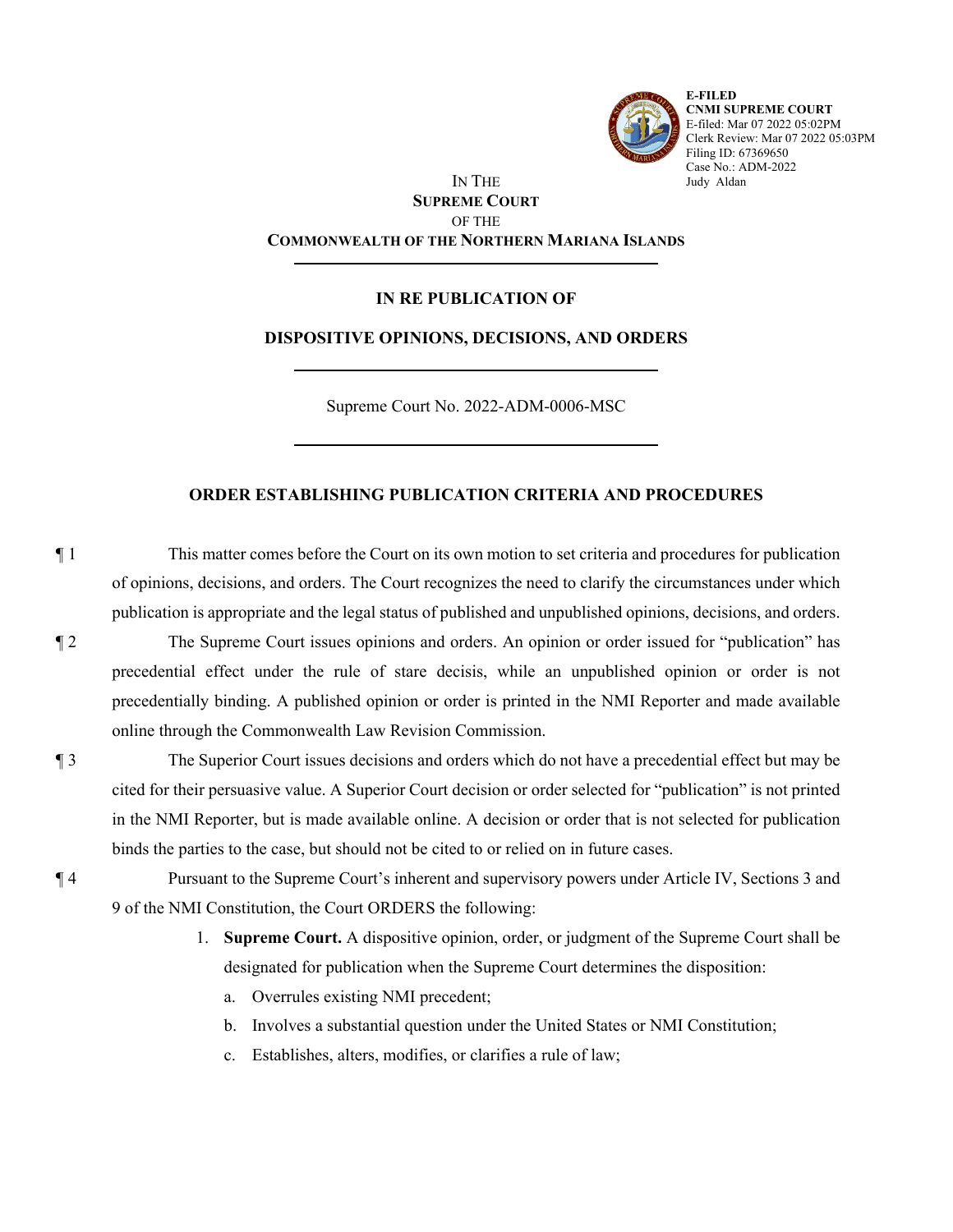

**E-FILED CNMI SUPREME COURT** E-filed: Mar 07 2022 05:02PM Clerk Review: Mar 07 2022 05:03PM Filing ID: 67369650 Case No.: ADM-2022 Judy Aldan

## IN THE **SUPREME COURT** OF THE **COMMONWEALTH OF THE NORTHERN MARIANA ISLANDS**

## **IN RE PUBLICATION OF**

## **DISPOSITIVE OPINIONS, DECISIONS, AND ORDERS**

Supreme Court No. 2022-ADM-0006-MSC

## **ORDER ESTABLISHING PUBLICATION CRITERIA AND PROCEDURES**

¶ 1 This matter comes before the Court on its own motion to set criteria and procedures for publication of opinions, decisions, and orders. The Court recognizes the need to clarify the circumstances under which publication is appropriate and the legal status of published and unpublished opinions, decisions, and orders.

- ¶ 2 The Supreme Court issues opinions and orders. An opinion or order issued for "publication" has precedential effect under the rule of stare decisis, while an unpublished opinion or order is not precedentially binding. A published opinion or order is printed in the NMI Reporter and made available online through the Commonwealth Law Revision Commission.
- ¶ 3 The Superior Court issues decisions and orders which do not have a precedential effect but may be cited for their persuasive value. A Superior Court decision or order selected for "publication" is not printed in the NMI Reporter, but is made available online. A decision or order that is not selected for publication binds the parties to the case, but should not be cited to or relied on in future cases.
- ¶ 4 Pursuant to the Supreme Court's inherent and supervisory powers under Article IV, Sections 3 and 9 of the NMI Constitution, the Court ORDERS the following:
	- 1. **Supreme Court.** A dispositive opinion, order, or judgment of the Supreme Court shall be designated for publication when the Supreme Court determines the disposition:
		- a. Overrules existing NMI precedent;
		- b. Involves a substantial question under the United States or NMI Constitution;
		- c. Establishes, alters, modifies, or clarifies a rule of law;